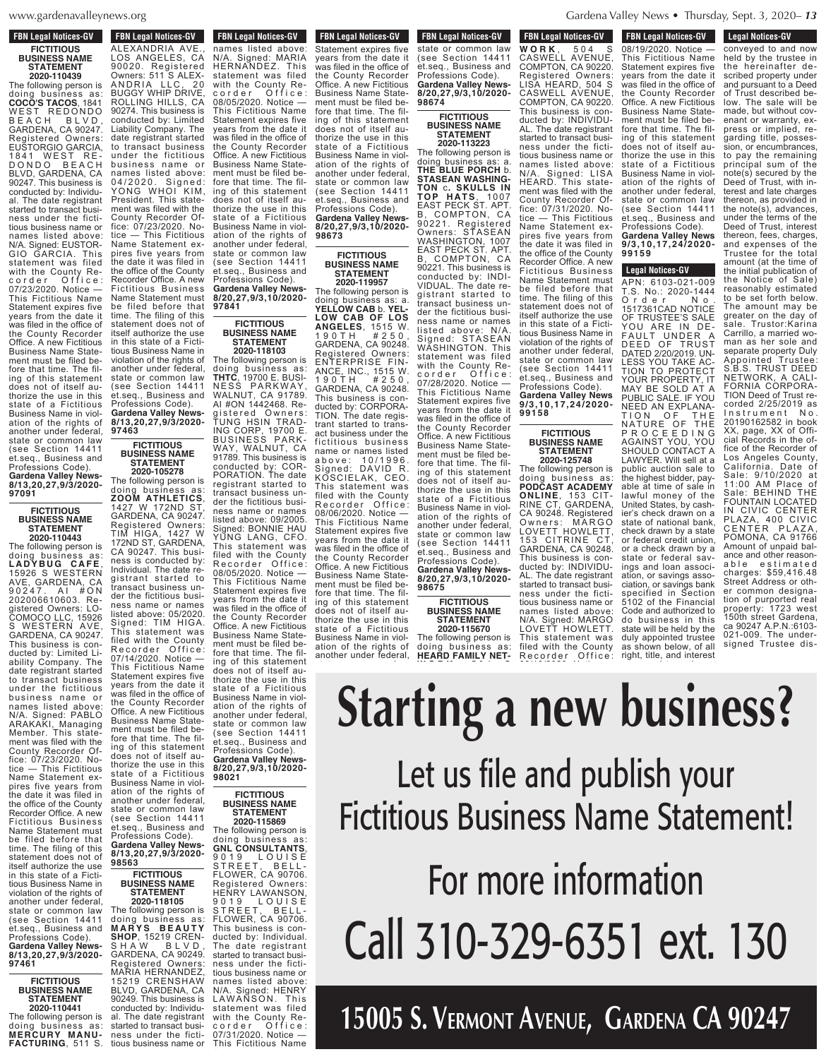$PWS. OSP$  $\frac{1}{2}$ 

### **FBN Legal Notices-GV FICTITIOUS BUSINESS NAME STATEMENT**

**2020-110439** The following person is doing business as: **COCO'S TACOS**, 1841 WEST REDONDO B E A C H B L V D , GARDENA, CA 90247. Registered Owners: EUSTORGIO GARCIA, 1841 WEST RE-D O N D O B E A C H BLVD, GARDENA, CA 90247. This business is conducted by: Individual. The date registrant started to transact business under the fictitious business name or names listed above: N/A. Signed: EUSTOR-GIO GARCIA. This statement was filed with the County Recorder Office: 07/23/2020. Notice This Fictitious Name Statement expires five years from the date it was filed in the office of the County Recorder Office. A new Fictitious Business Name Statement must be filed before that time. The filing of this statement does not of itself authorize the use in this state of a Fictitious Business Name in violation of the rights of another under federal, state or common law (see Section 14411 et.seq., Business and Professions Code). **Gardena Valley News-8/13,20,27,9/3/2020-**

**FICTITIOUS BUSINESS NAME STATEMENT**

**97091**

**2020-110443** The following person is doing business as: **L A D Y B U G C A FE**, 15926 S WESTERN AVE, GARDENA, CA 9 0 2 4 7 . A I # O N 202006610603. Registered Owners: LO-COMOCO LLC, 15926 S WESTERN AVE, GARDENA, CA 90247. This business is conducted by: Limited Liability Company. The date registrant started to transact business under the fictitious business name or names listed above: N/A. Signed: PABLO ARAKAKI, Managing Member. This statement was filed with the County Recorder Office: 07/23/2020. Notice — This Fictitious Name Statement expires five years from the date it was filed in the office of the County Recorder Office. A new Fictitious Business Name Statement must be filed before that time. The filing of this statement does not of itself authorize the use in this state of a Fictitious Business Name in violation of the rights of another under federal, state or common law (see Section 14411 et.seq., Business and Professions Code). **Gardena Valley News-**

**97461 FICTITIOUS BUSINESS NAME** STATEMENT

**8/13,20,27,9/3/2020-**

**2020-110441** The following person is doing business as: **MERCURY MANU-FACTURING**, 511 S.

ALEXANDRIA AVE.,

**FBN Legal Notices-GV FBN Legal NOUCES-GV** ALEXANDRIA AVE., LOS ANGELES, CA 90020. Registered Owners: 511 S ALEX-ANDRIA LLC, 20 BUGGY WHIP DRIVE, ROLLING HILLS, CA 90274. This business is conducted by: Limited Liability Company. The date registrant started to transact business under the fictitious business name or names listed above: 04/2020. Signed: YONG WHOI KIM, President. This statement was filed with the County Recorder Office: 07/23/2020. Notice — This Fictitious Name Statement expires five years from the date it was filed in the office of the County Recorder Office. A new Fictitious Business Name Statement must be filed before that time. The filing of this statement does not of itself authorize the use in this state of a Fictitious Business Name in violation of the rights of another under federal, **FBN Legal Notices-GV** rbn Leyal Nullles-GV names listed above: N/A. Signed: MARIA HERNANDEZ. This statement was filed with the County Recorder Office: 08/05/2020. Notice — This Fictitious Name Statement expires five years from the date it was filed in the office of the County Recorder Office. A new Fictitious Business Name Statement must be filed before that time. The filing of this statement does not of itself authorize the use in this state of a Fictitious Business Name in violation of the rights of another under federal, state or common law (see Section 14411 et.seq., Business and Professions Code). **Gardena Valley News-8/20,27,9/3,10/2020- 97841 FICTITIOUS BUSINESS NAME STATEMENT 2020-118103** The following person is doing business as: **THTC**, 19700 E. BUSI-

et.seq., Business and Professions Code). **Gardena Valley News-8/13,20,27,9/3/2020- 97463**

NESS PARKWAY, WALNUT, CA 91789. AI #ON 1442468. Registered Owners: TUNG HSIN TRAD-ING CORP, 19700 E. BUSINESS PARK-WAY, WALNUT, CA 91789. This business is conducted by: COR-

**FICTITIOUS**

**STATEMENT 2020-115869**

doing business as: **GNL CONSULTANTS**, 9019 LOUISE STREET, BELL-FLOWER, CA 90706. Registered Owners: HENRY LAWANSON,

state or common law (see Section 14411

#### **FICTITIOUS BUSINESS NAME STATEMENT**

**2020-105278** The following person is doing business as: **ZOOM ATHLETICS**, 1427 W 172ND ST, GARDENA, CA 90247. Registered Owners: TIM HIGA, 1427 W 172ND ST, GARDENA, CA 90247. This business is conducted by: Individual. The date registrant started to transact business under the fictitious business name or names listed above: 05/2020. Signed: TIM HIGA. This statement was filed with the County Recorder Office: 07/14/2020. Notice — This Fictitious Name Statement expires five years from the date it was filed in the office of the County Recorder Office. A new Fictitious Business Name Statement must be filed before that time. The filing of this statement does not of itself authorize the use in this state of a Fictitious Business Name in violation of the rights of another under federal, state or common law (see Section 14411 et.seq., Business and PORATION. The date registrant started to transact business under the fictitious business name or names listed above: 09/2005. Signed: BONNIE HAU YUNG LANG, CFO. This statement was filed with the County Recorder Office: 08/05/2020. Notice — This Fictitious Name Statement expires five years from the date it was filed in the office of the County Recorder Office. A new Fictitious Business Name Statement must be filed before that time. The filing of this statement does not of itself authorize the use in this state of a Fictitious Business Name in violation of the rights of another under federal, state or common law (see Section 14411 et.seq., Business and Professions Code). **Gardena Valley News-8/20,27,9/3,10/2020- 98021 BUSINESS NAME** The following person is

Professions Code). **Gardena Valley News-8/13,20,27,9/3/2020- 98563 FICTITIOUS**

#### **BUSINESS NAME STATEMENT 2020-118105**

The following person is doing business as: **M A R Y S B E A U T Y SHOP**, 15219 CREN-S H A W B L V D , GARDENA, CA 90249. Registered Owners: MARIA HERNANDEZ, 15219 CRENSHAW BLVD, GARDENA, CA 90249. This business is conducted by: Individual. The date registrant started to transact business under the fictitious business name or 9019 LOUISE STREET, BELL-FLOWER, CA 90706. This business is conducted by: Individual. The date registrant started to transact business under the fictitious business name or names listed above: N/A. Signed: HENRY LAWANSON. This statement was filed with the County Rec o r d e r o f f i c e :<br>07/31/2020. Notice —<br>This Fictitious Name<br>.

**FBN Legal Notices-GV This Figure Islams** Statement expires five years from the date it was filed in the office of the County Recorder Office. A new Fictitious Business Name Statement must be filed before that time. The filing of this statement does not of itself authorize the use in this state of a Fictitious Business Name in violation of the rights of another under federal, state or common law (see Section 14411 et.seq., Business and Professions Code). **Gardena Valley News-8/20,27,9/3,10/2020- 98673**

**FICTITIOUS BUSINESS NAME**

**STATEMENT 2020-119957**

The following person is doing business as: a. **YELLOW CAB** b. **YEL-LOW CAB OF LOS ANGELES**, 1515 W. 1 9 0 T H # 2 5 0 , GARDENA, CA 90248. Registered Owners: ENTERPRISE FIN-ANCE, INC., 1515 W.  $190TH$  # 250, GARDENA, CA 90248. This business is conducted by: CORPORA-TION. The date registrant started to transact business under the fictitious business name or names listed a b o v e : 1 0 / 1 9 9 6 . Signed: DAVID R. KOSCIELAK, CEO. This statement was filed with the County Recorder Office: 08/06/2020. Notice — This Fictitious Name Statement expires five years from the date it was filed in the office of the County Recorder Office. A new Fictitious Business Name Statement must be filed before that time. The filing of this statement does not of itself authorize the use in this state of a Fictitious Business Name in violation of the rights of another under federal,

**FBN Legal Notices-GV FIGURE 1998** FIGURE UNDER FEDERAL state or common law (see Section 14411 et.seq., Business and Professions Code). **Gardena Valley News-8/20,27,9/3,10/2020- 98674**

**FICTITIOUS BUSINESS NAME** STATEMENT **2020-113223**

The following person is doing business as: a. **THE BLUE PORCH** b. **STASEAN WASHING-TON** c**. SKULLS IN TOP H A TS**, 1 0 0 7 EAST PECK ST. APT. B, COMPTON, CA 90221. Registered Owners: STASEAN WASHINGTON, 1007 EAST PECK ST. APT. B, COMPTON, CA 90221. This business is conducted by: INDI-VIDUAL. The date registrant started to transact business under the fictitious business name or names listed above: N/A. Signed: STASEAN WASHINGTON. This statement was filed with the County Recorder Office: 07/28/2020. Notice — This Fictitious Name Statement expires five years from the date it was filed in the office of the County Recorder Office. A new Fictitious Business Name Statement must be filed before that time. The filing of this statement does not of itself authorize the use in this state of a Fictitious Business Name in violation of the rights of another under federal, state or common law tious business name or names listed above: N/A. Signed: LISA HEARD. This statement was filed with the County Recorder Office: 07/31/2020. Notice — This Fictitious Name Statement expires five years from the date it was filed in the office of the County Recorder Office. A new Fictitious Business Name Statement must be filed before that time. The filing of this statement does not of itself authorize the use in this state of a Fictitious Business Name in violation of the rights of another under federal, state or common law (see Section 14411 et.seq., Business and Professions Code). **Gardena Valley News 9/3,10,17,24/2020- 99158** The following person is doing business as: **PODCAST ACADEMY ONLINE**, 153 CIT-RINE CT, GARDENA, CA 90248. Registered Owners: MARGO LOVETT HOWLETT, 153 CITRINE CT,

(see Section 14411 et.seq., Business and Professions Code). **Gardena Valley News-8/20,27,9/3,10/2020- 98675**

**FICTITIOUS BUSINESS NAME STATEMENT 2020-115670**

The following person is doing business as: **HEARD FAMILY NET-**

 $\sim$ 

www.gardenavalleynews.org **Cardena Valley News • Thursday, Sept. 3, 2020–13** Gardena Valley News • Thursd  $T_{\text{ref}}$  statement was  $T_{\text{ref}}$  $\sqrt{5}$  Sept. 3, 2020-13  $\eta$  bept b  $\mu$  and  $\sigma$ 

 $FBN$  Legal Notices-GV **FBN Legal Notices-GV Legal Notices-GV Legal Nutices-GV** 

**W O R K** , 5 0 4 S CASWELL AVENUE, COMPTON, CA 90220. Registered Owners: LISA HEARD, 504 S CASWELL AVENUE, COMPTON, CA 90220. This business is conducted by: INDIVIDU-AL. The date registrant started to transact business under the ficti-08/19/2020. Notice This Fictitious Name Statement expires five years from the date it was filed in the office of the County Recorder Office. A new Fictitious Business Name Statement must be filed before that time. The filing of this statement does not of itself authorize the use in this state of a Fictitious Business Name in violation of the rights of another under federal, state or common law (see Section 14411 et.seq., Business and Professions Code). **Gardena Valley News 9/3,10,17,24/2020- 99159**

## **Legal Notices-GV**

names listed above: LOVETT HOWLETT. APN: 6103-021-009 T.S. No.: 2020-1444 Order No. 1517361CAD NOTICE OF TRUSTEE'S SALE YOU ARE IN DE-FAULT UNDER A DEED OF TRUST DATED 2/20/2019. UN-LESS YOU TAKE AC-TION TO PROTECT YOUR PROPERTY, IT MAY BE SOLD AT A PUBLIC SALE. IF YOU NEED AN EXPLANA-TION OF THE NATURE OF THE P R O C E E D I N G AGAINST YOU, YOU SHOULD CONTACT A LAWYER. Will sell at a public auction sale to the highest bidder, payable at time of sale in lawful money of the United States, by cashier's check drawn on a state of national bank, check drawn by a state or federal credit union, or a check drawn by a state or federal savings and loan association, or savings association, or savings bank specified in Section 5102 of the Financial Code and authorized to do business in this state will be held by the duly appointed trustee as shown below, of all right, title, and interest

S.B.S. TRUST DEED

are the highest bidder

 $\mathcal{X} \subset \mathcal{X}$  ,  $\mathcal{X} \subset \mathcal{X}$  of  $\mathcal{X} \subset \mathcal{X}$ 

held by the trustee in the hereinafter described property under and pursuant to a Deed of Trust described below. The sale will be made, but without covenant or warranty, express or implied, regarding title, possession, or encumbrances, to pay the remaining principal sum of the note(s) secured by the Deed of Trust, with interest and late charges thereon, as provided in the note(s), advances, under the terms of the Deed of Trust, interest thereon, fees, charges, and expenses of the Trustee for the total amount (at the time of the initial publication of the Notice of Sale) reasonably estimated to be set forth below. The amount may be greater on the day of sale. Trustor:Karina Carrillo, a married woman as her sole and separate property Duly Appointed Trustee: S.B.S. TRUST DEED NETWORK, A CALI-FORNIA CORPORA-TION Deed of Trust recorded 2/25/2019 as **Instrument** No. 20190162582 in book XX, page, XX of Official Records in the office of the Recorder of Los Angeles County, California. Date of Sale: 9/10/2020 at 11:00 AM Place of Sale: BEHIND THE FOUNTAIN LOCATED IN CIVIC CENTER PLAZA, 400 CIVIC CENTER PLAZA, POMONA, CA 91766 Amount of unpaid balance and other reasona b l e e s t i m a t e d charges: \$59,416.48 Street Address or other common designation of purported real property: 1723 west 150th street Gardena, ca 90247 A.P.N.:6103- 021-009. The under-<br>signed Trustee dis-

conveyed to and now

et.seq., Business and Professions Code). **Gardena Valley News-8/20,27,9/3,10/2020- 98674** Compton, Ca 90220 Registered Owners: LIAA A CHIV J COMPT O  $T$  . This business is considered ducted by: INDIVIDU-AL. The date registrant started to transact busiet us file  $\cdots$ HEARD. This state- $\ldots$  D.  $\ldots$ TIC RHCL as publ  $\mathbf{t}$  of the County of the County of the County of the County of the County of the County of the County of the County of the County of the County of the County of the County of the County of the County of the County of  $F^{\prime}$ r maner Fictitious Business name statement must be statement does not of  $71$ ant $7$  $\sim$  111.5 $\sim$ tious Business Name in violation of the rights of  $M$ an filed in the orientation of  $\mathbf{r}$ the County Recorder **OFFICE**  $\blacksquare$ ing of this statement and pu  $\mathbf{B}$ ation of the rights of another under under the second under the second under the second under the second under the second under the s nacc Nai 1655 1441 **9/3,10,17,24/2020- 99159** and expenses of the the hereinafter described property under **h**iin o trusta lulu ni I  $\sim$   $\sim$   $\sim$   $\sim$   $\sim$ garding title, possesplish vor  $\cdots$  secured by  $\cdots$ Deed of Trust, with in- $\mathbf{t}$  and  $\mathbf{t}$ na stata no pidie under the terms of the terms of the terms of the terms of the terms of the terms of the terms of the terms of  $\mathbf{r}$  to the total for the total for the total form nation **a** thal illum For more information The amount may be  $\overline{1}$  or  $\overline{1}$ sale. Trustor:Karina LI CAL man as her sole and a nation, if any, shown  $\boldsymbol{\sim} \boldsymbol{\sim} \boldsymbol{I}$ dress or other common designation is shown, directions to Starting a new business? Let us file and publish your TO POTENTIAL BIDmanti sidering bidding on this Fictitious Business Name Statement!  $m = \infty$  $\mathbf{1.70}$ ship of the property. You should also be aware that the lien be-Call 310-329-6351 ext. 130

**FICTITIOUS BUSINESS NAME STATEMENT 2020-125748**

GARDENA, CA 90248. This business is conducted by: INDIVIDU-AL. The date registrant started to transact business under the fictitious business name or

N/A. Signed: MARGO

This statement was filed with the County Recorder Office:

Professions Code). **Gardena Valley News 9/3,10,17,24/2020- 99158** FORNIA CORPORA- $T_{\rm F}$  $ARDINA$  ( $F$  $\sum$  $\boldsymbol{\Lambda}\boldsymbol{\Lambda}\boldsymbol{\Lambda}\boldsymbol{\Lambda}\boldsymbol{\Xi}$  $\mathbf{S}$ ion being being being being being being being being being being being being being being being being being being being being being being being being being being being being being being being being being being being  $J$ vati $J$ 15005 S. Vermont Avenue, "Gardena CA 90247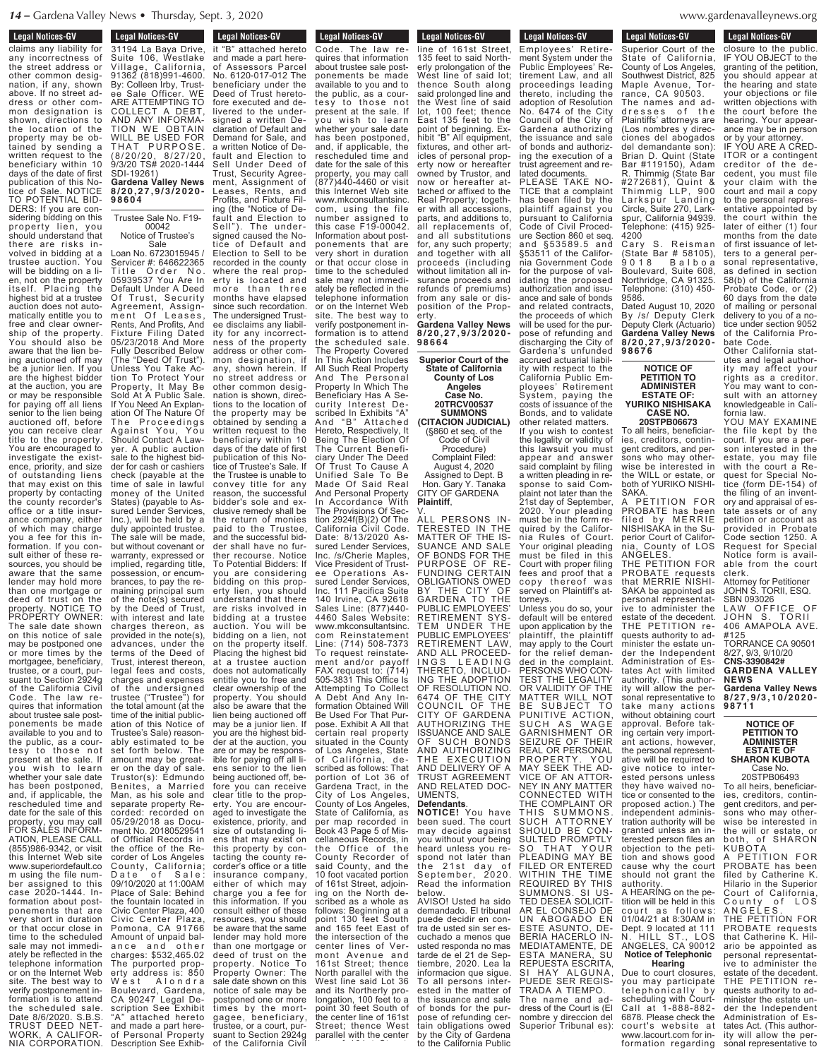**Legal Notices-GV Legal Nutices-GV** 

claims any liability for any incorrectness of the street address or other common designation, if any, shown above. If no street address or other common designation is shown, directions to the location of the property may be obtained by sending a written request to the beneficiary within 10 days of the date of first publication of this Notice of Sale. NOTICE TO POTENTIAL BID-DERS: If you are considering bidding on this property lien, you should understand that there are risks involved in bidding at a trustee auction. You will be bidding on a lien, not on the property itself. Placing the highest bid at a trustee auction does not automatically entitle you to free and clear ownership of the property. You should also be aware that the lien being auctioned off may be a junior lien. If you are the highest bidder at the auction, you are or may be responsible for paying off all liens senior to the lien being auctioned off, before you can receive clear title to the property. You are encouraged to investigate the existence, priority, and size of outstanding liens that may exist on this property by contacting the county recorder's office or a title insurance company, either of which may charge you a fee for this information. If you consult either of these resources, you should be aware that the same lender may hold more than one mortgage or deed of trust on the property. NOTICE TO PROPERTY OWNER: The sale date shown on this notice of sale may be postponed one or more times by the mortgagee, beneficiary, trustee, or a court, pursuant to Section 2924g of the California Civil Code. The law requires that information about trustee sale postponements be made available to you and to the public, as a courtesy to those not present at the sale. If you wish to learn<br>whetheryoursaledate has been postponed, and, if applicable, the rescheduled time and date for the sale of this property, you may call FOR SALES INFORM-ATION, PLEASE CALL (855)986-9342, or visit this Internet Web site www.superiordefault.co m using the file number assigned to this case 2020-1444. Information about postponements that are very short in duration or that occur close in time to the scheduled sale may not immediately be reflected in the telephone information or on the Internet Web site. The best way to verify postponement information is to attend the scheduled sale. Date 8/6/2020. S.B.S. TRUST DEED NET-WORK, <sup>A</sup> CALIFOR- NIA CORPORATION.

**Legal Notices-GV** Legal Nutries-uv 31194 La Baya Drive, Suite 106, Westlake Village, California, 91362 (818)991-4600. By: Colleen Irby, Trustee Sale Officer. WE ARE ATTEMPTING TO COLLECT A DEBT, AND ANY INFORMA-TION WE OBTAIN WILL BE USED FOR THAT PURPOSE. ( 8 / 20 / 20 , 8 / 27 / 20 , 9/3/20 TS# 2020-1444 SDI-19261) **Gardena Valley News 8 / 2 0 , 2 7 , 9 / 3 / 2 0 2 0 - 9 8 6 0 4**

## Trustee Sale No. F19- 00042

bidding on this property lien, you should understand that there are risks involved in bidding at a trustee auction. You will be bidding on a lien, not on the property itself. Placing the highest bid at a trustee auction does not automatically entitle you to free and clear ownership of the property. You should also be aware that the lien being auctioned off may be a junior lien. If you are the highest bidder at the auction, you are or may be responsible for paying off all liens senior to the lien being auctioned off, before you can receive clear title to the property. You are encourerty. Four are encour-<br>aged to investigate the existence, priority, and size of outstanding liens that may exist on this property by contacting the county recorder's office or a title insurance company, either of which may charge you a fee for this information. If you consult either of these resources, you should be aware that the same lender may hold more than one mortgage or deed of trust on the property. Notice To Property Owner: The sale date shown on this notice of sale may be postponed one or more times by the mort-gagee, beneficiary, trustee, or a court, pursuant to Section 2924g of the California Civil Notice of Trustee's Sale Loan No. 6723015945 / Servicer #: 646622365 Title Order No. 05939537 You Are In Default Under A Deed Of Trust, Security Agreement, Assignment Of Leases, Rents, And Profits, And Fixture Filing Dated 05/23/2018 And More Fully Described Below (The "Deed Of Trust"). Unless You Take Action To Protect Your Property, It May Be Sold At A Public Sale. If You Need An Explanation Of The Nature Of The Proceedings Against You, You Should Contact A Lawyer. A public auction sale to the highest bidder for cash or cashiers check (payable at the time of sale in lawful money of the United States) (payable to Assured Lender Services, Inc.), will be held by a duly appointed trustee. The sale will be made, but without covenant or warranty, expressed or implied, regarding title, possession, or encumbrances, to pay the remaining principal sum of the note(s) secured by the Deed of Trust, with interest and late charges thereon, as provided in the note(s), advances, under the terms of the Deed of Trust, interest thereon, legal fees and costs, charges and expenses of the undersigned trustee ("Trustee") for the total amount (at the time of the initial publication of this Notice of Trustee's Sale) reasonably estimated to be set forth below. The amount may be greater on the day of sale.<br>Trustor(s): Edmundo Benites, a Married Man, as his sole and separate property Recorded: recorded on 05/29/2018 as Document No. 20180529541 of Official Records in the office of the Recorder of Los Angeles County, Cal ifornia; Date of Sale: Date of Sale:<br>09/10/2020 at 11:00AM Place of Sale: Behind the fountain located in Civic Center Plaza, 400 Civic Center Plaza, Pomona, CA 91766 Amount of unpaid bal-<br>ance and other ance and other charges: \$532,465.02 The purported property address is: 850 West Alondra<br>Boulevard, Gardena, CA 90247 Legal Description See Exhibit "A" attached hereto and made a part hereof Personal Property Description See Exhib-

**Legal Notices-GV** and  $\frac{1}{2}$ Legal Nutices-GV it "B" attached hereto and made a part hereof Assessors Parcel No. 6120-017-012 The beneficiary under the Deed of Trust heretofore executed and delivered to the undersigned a written Declaration of Default and Demand for Sale, and a written Notice of Default and Election to Sell Under Deed of Trust, Security Agreement, Assignment of Leases, Rents, and Profits, and Fixture Filing (the "Notice of Default and Election to Sell"). The undersigned caused the Notice of Default and Election to Sell to be recorded in the county where the real property is located and more than three months have elapsed since such recordation. The undersigned Trustee disclaims any liability for any incorrectness of the property address or other common designation, any, shown herein. If no street address or other common designation is shown, directions to the location of the property may be obtained by sending a written request to the beneficiary within 10 days of the date of first publication of this Notice of Trustee's Sale. If the Trustee is unable to convey title for any reason, the successful bidder's sole and exclusive remedy shall be the return of monies paid to the Trustee, and the successful bidder shall have no further recourse. Notice To Potential Bidders: If you are considering

Legal Nutles-GV Code. The law requires that information about trustee sale postponements be made available to you and to the public, as a courtesy to those not present at the sale. If you wish to learn whether your sale date has been postponed, and, if applicable, the rescheduled time and date for the sale of this property, you may call (877)440-4460 or visit this Internet Web site www.mkconsultantsinc. com, using the file number assigned to this case F19-00042. Information about postponements that are short in duration or that occur close in time to the scheduled sale may not immediately be reflected in the telephone information or on the Internet Web site. The best way to verify postponement information is to attend the scheduled sale. The Property Covered In This Action Includes All Such Real Property And The Personal Property In Which The Beneficiary Has A Security Interest Described In Exhibits "A" And"B" Attached Hereto, Respectively, It Being The Election Of The Current Beneficiary Under The Deed Of Trust To Cause A Unified Sale To Be Made Of Said Real And Personal Property In Accordance With The Provisions Of Section 2924f(B)(2) Of The California Civil Code. Date: 8/13/2020 Assured Lender Services, Inc. /s/Cherie Maples, Vice President of Trustee Operations Assured Lender Services, Inc. 111 Pacifica Suite 140 Irvine, CA 92618 Sales Line: (877)440- 4460 Sales Website: www.mkconsultantsinc. com Reinstatement Line: (714) 508-7373 To request reinstatement and/or payoff FAX request to: (714) 505-3831 This Office Is Attempting To Collect A Debt And Any Information Obtained Will Be Used For That Purpose. Exhibit A All that certain real property situated in the County of Los Angeles, State of California, described as follows: That portion of Lot 36 of Gardena Tract, in the City of Los Angeles, County of Los Angeles, State of California, as per map recorded in Book 43 Page 5 of Miscellaneous Records, in the Office of the County Recorder of said County, and the 10 foot vacated portion of 161st Street, adjoining on the North described as a whole as follows: Beginning at a point 130 feet South and 165 feet East of the intersection of the center lines of Vermont Avenue and 161st Street; thence North parallel with the West line said Lot 36 and its Northerly prolongation, 100 feet to a point 30 feet South of the center line of 161st Street: thence West parallel with the center

**Legal Notices-GV** 

**Legal Notices-GV Legal Nutiles-GV** line of 161st Street, 135 feet to said Northerly prolongation of the West line of said lot; thence South along said prolonged line and the West line of said lot, 100 feet; thence East 135 feet to the point of beginning. Exhibit "B" All equipment, fixtures, and other articles of personal property now or hereafter owned by Trustor, and now or hereafter attached or affixed to the Real Property; together with all accessions, parts, and additions to, all replacements of, and all substitutions for, any such property; and together with all proceeds (including without limitation all insurance proceeds and refunds of premiums) from any sale or disposition of the Property. **Gardena Valley News 8 / 2 0 , 2 7 , 9 / 3 / 2 0 2 0 - 9 8 6 6 4**

**Superior Court of the State of California County of Los Angeles**

**Case No. 20TRCV00537 SUMMONS (CITACION JUDICIAL)** (§860 et seq. of the

Code of Civil Procedure) Complaint Filed: August 4, 2020 Assigned to Dept. B Hon. Gary Y. Tanaka CITY OF GARDENA

**Plaintiff**, V. ALL PERSONS IN-TERESTED IN THE MATTER OF THE IS-SUANCE AND SALE OF BONDS FOR THE PURPOSE OF RE-FUNDING CERTAIN OBLIGATIONS OWED BY THE CITY OF GARDENA TO THE PUBLIC EMPLOYEES' RETIREMENT SYS-TEM UNDER THE PUBLIC EMPLOYEES RETIREMENT LAW, AND ALL PROCEED-INGS LEADING THERETO, INCLUD-ING THE ADOPTION OF RESOLUTION NO 6474 OF THE CITY COUNCIL OF THE CITY OF GARDENA AUTHORIZING THE ISSUANCE AND SALE OF SUCH BONDS AND AUTHORIZING THE EXECUTION AND DELIVERY OF A TRUST AGREEMENT AND RELATED DOC-UMENTS, **Defendants**.

**NOTICE!** You have been sued. The court may decide against you without your being heard unless you respond not later than the 21st day of September, 2020. Read the information below. AVISO! Usted ha sido demandado. El tribunal puede decidir en contra de usted sin ser escuchado a menos que usted responda no mas tarde de el 21 de Septiembre, 2020. Lea la informacion que sigue. To all persons interested in the matter of the issuance and sale of bonds for the purpose of refunding certain obligations owed by the City of Gardena

to the California Public

# **Legal Notices-GV**

**Legal Nutlices-GV** Employees' Retirement System under the Public Employees' Retirement Law, and all proceedings leading thereto, including the adoption of Resolution No. 6474 of the City Council of the City of Gardena authorizing the issuance and sale of bonds and authorizing the execution of a trust agreement and related documents.

PLEASE TAKE NO-TICE that a complaint has been filed by the plaintiff against you pursuant to California Code of Civil Procedure Section 860 et seq. and §53589.5 and §53511 of the California Government Code for the purpose of validating the proposed authorization and issuance and sale of bonds and related contracts, the proceeds of which will be used for the purpose of refunding and discharging the City of Gardena's unfunded accrued actuarial liability with respect to the California Public Employees' Retirement System, paying the costs of issuance of the Bonds, and to validate other related matters. If you wish to contest the legality or validity of this lawsuit you must appear and answer said complaint by filing a written pleading in response to said Complaint not later than the 21st day of September, 2020. Your pleading must be in the form required by the California Rules of Court. Your original pleading must be filed in this Court with proper filing fees and proof that a copy thereof was served on Plaintiff's attorneys. Unless you do so, your

default will be entered upon application by the plaintiff, the plaintiff may apply to the Court for the relief demanded in the complaint. PERSONS WHO CON-TEST THE LEGALITY OR VALIDITY OF THE MATTER WILL NOT BE SUBJECT TO PUNITIVE ACTION, SUCH AS WAGE GARNISHMENT OR SEIZURE OF THEIR REAL OR PERSONAL PROPERTY. YOU MAY SEEK THE AD-VICE OF AN ATTOR-NEY IN ANY MATTER CONNECTED WITH THE COMPLAINT OR THIS SUMMONS. SUCH ATTORNEY SHOULD BE CON-SULTED PROMPTLY SO THAT YOUR PLEADING MAY BE FILED OR ENTERED WITHIN THE TIME REQUIRED BY THIS SUMMONS. SI US-TED DESEA SOLICIT-AR EL CONSEJO DE UN ABOGADO EN ESTE ASUNTO, DE-BERIA HACERLO IN-DERMININENTE, DE<br>MEDIATAMENTE, DE<br>FSTA MANFRA SU **ESTA MANERA** LUTINESTA ESCRITA,<br>SI HAY ALGUNA AI GUNA PUEDE SER REGIS-TRADA A TIEMPO. The name and address of the Court is (El nombre y direccion del Superior Tribunal es):

denavalleynews.org www.gardenavalleynews.org  $\ldots$   $\ldots$   $\ldots$   $\ldots$ 

**Legal Notices-GV Eught Nutters-GV** 

you should appear at

of first issuance of letters to a general personal representative, as defined in section 58(b) of the California Probate Code, or (2) 60 days from the date of mailing or personal delivery to you of a notice under section 9052 of the California Pro-

Other California statutes and legal authority may affect your rights as a creditor. You may want to consult with an attorney knowledgeable in Cali-

YOU MAY EXAMINE the file kept by the court. If you are a person interested in the estate, you may file with the court a Request for Special Notice (form DE-154) of the filing of an inventory and appraisal of es-

provided in Probate Code section 1250. A Request for Special Notice form is available from the court

bate Code.

fornia law.

closure to the public. IF YOU OBJECT to the granting of the petition, the hearing and state your objections or file written objections with the court before the hearing. Your appearance may be in person or by your attorney. IF YOU ARE A CRED-ITOR or a contingent creditor of the decedent, you must file your claim with the court and mail a copy to the personal representative appointed by the court within the later of either (1) four months from the date **Legal Notices-GV** Legal Nutrices-GV Superior Court of the State of California, County of Los Angeles, Southwest District, 825 Maple Avenue, Torrance, CA 90503. The names and addresses of the Plaintiffs' attorneys are (Los nombres y direcciones del abogados del demandante son): Brian D. Quint (State Bar #119150), Adam R. Thimmig (State Bar #272681), Quint & Thimmig LLP, 900 Larkspur Landing Circle, Suite 270, Larkspur, California 94939. Telephone: (415) 925-

4200<br>Carv S. Reisman (State Bar # 58105),  $B$  a  $l$  b  $o$  a Boulevard, Suite 608, Northridge, CA 91325. Telephone: (310) 450- 9586.

Dated August 10, 2020 By /s/ Deputy Clerk Deputy Clerk (Actuario) **Gardena Valley News 8 / 2 0 , 2 7 , 9 / 3 / 2 0 2 0 - 9 8 6 7 6**

#### **NOTICE OF PETITION TO ADMINISTER ESTATE OF: YURIKO NISHISAKA CASE NO. 20STPB06673**

To all heirs, beneficiaries, creditors, contingent creditors, and persons who may otherwise be interested in the WILL or estate, or both of YURIKO NISHI-

tate assets or of any petition or account as SAKA.<br>SAKA.<br>A PETITION FOR A PETITION FOR PROBATE has been filed by MERRIE NISHISAKA in the Superior Court of California, County of LOS **ANGELES** THE PETITION FOR

clerk. Attorney for Petitioner JOHN S. TORII, ESQ. SBN 093026 LAW OFFICE OF JOHN S. TORII 406 AMAPOLA AVE. #125 TORRANCE CA 90501 8/27, 9/3, 9/10/20 **CNS-3390842# GARDENA VALLEY NEWS Gardena Valley News 8 / 2 7 , 9 / 3 , 1 0 / 2 0 2 0 - 9 8 7 1 1** PROBATE requests that MERRIE NISHI-SAKA be appointed as personal representative to administer the estate of the decedent. THE PETITION requests authority to administer the estate under the Independent Administration of Estates Act with limited authority. (This authority will allow the personal representative to take many actions without obtaining court approval. Before taking certain very important actions, however, the personal representative will be required to give notice to inter-ested persons unless they have waived no-

tice or consented to the proposed action.) The independent administration authority will be granted unless an interested person files an objection to the petition and shows good cause why the court should not grant the authority. A HEARING on the pe-

tition will be held in this<br>court as follows: court as follows:<br>01/04/21 at 8:30AM in Dept. 9 located at 111 N. HILL ST., LOS ANGELES, CA 90012 **Notice of Telephonic Hearing**

Due to court closures, you may participate telephonically by scheduling with Court-Call at 1-888-882-6878. Please check the court's website at www.lacourt.com for in-<br>formation regarding<br>.

#### **ADMINISTER ESTATE OF SHARON KUBOTA** Case No. 20STPB06493 To all heirs, beneficiaries, creditors, contingent creditors, and persons who may otherwise be interested in the will or estate, or

**NOTICE OF PETITION TO**

both, of SHARON KUBOTA A PETITION FOR PROBATE has been filed by Catherine K. Hilario in the Superior Court of California, County of LOS

A N G E L E S . THE PETITION FOR PROBATE requests that Catherine K. Hilario be appointed as personal representative to administer the estate of the decedent. THE PETITION requests authority to administer the estate under the Independent Administration of Estates Act. (This authority will allow the personal representative to